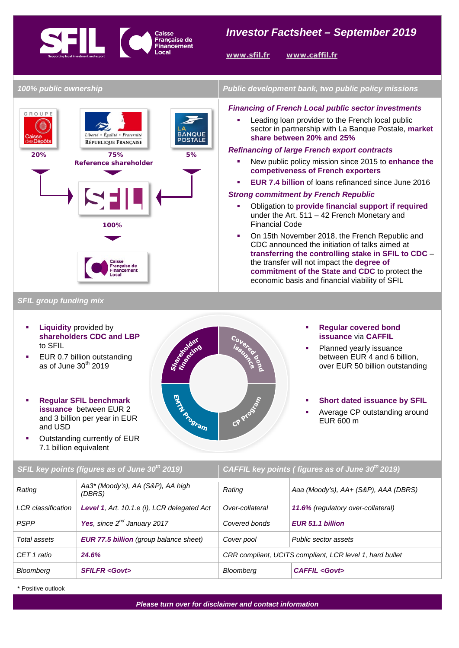## **THE CON** Française de *Investor Factsheet – September 2019*<br>
Financement

**www.sfil.fr www.caffil.fr** 

*100% public ownership Public development bank, two public policy missions Financing of French Local public sector investments*  GROUPE Leading loan provider to the French local public sector in partnership with La Banque Postale, **market**  Liberté • Égalité • Fraternité **BANQUE share between 20% and 25% POSTALE** RÉPUBLIQUE FRANÇAISE *Refinancing of large French export contracts*  **20% 75% 5%** New public policy mission since 2015 to **enhance the Reference shareholder competiveness of French exporters EUR 7.4 billion** of loans refinanced since June 2016 *Strong commitment by French Republic* Obligation to **provide financial support if required**  under the Art. 511 – 42 French Monetary and Financial Code **100%** On 15th November 2018, the French Republic and CDC announced the initiation of talks aimed at **transferring the controlling stake in SFIL to CDC** – the transfer will not impact the **degree of commitment of the State and CDC** to protect the economic basis and financial viability of SFIL

*SFIL group funding mix* 

- **Liquidity** provided by **shareholders CDC and LBP** to SFIL
- EUR 0.7 billion outstanding as of June  $30<sup>th</sup>$  2019
- **Regular SFIL benchmark issuance** between EUR 2 and 3 billion per year in EUR and USD
- Outstanding currently of EUR 7.1 billion equivalent



*SFIL key points (figures as of June 30th 2019) CAFFIL key points ( figures as of June 30th 2019)*

 **Regular covered bond issuance** via **CAFFIL** 

- Planned yearly issuance between EUR 4 and 6 billion, over EUR 50 billion outstanding
- **Short dated issuance by SFIL**
- Average CP outstanding around EUR 600 m

| <b>U IL NEY DUTTILS (TIGHTES AS UT JUITE JU LUTT)</b> |                                               | CATTLE NEW DOMES   HYGIES AS OF JUME 30 ZO 13)           |                                      |
|-------------------------------------------------------|-----------------------------------------------|----------------------------------------------------------|--------------------------------------|
| Rating                                                | Aa3* (Moody's), AA (S&P), AA high<br>(DBRS)   | Rating                                                   | Aaa (Moody's), AA+ (S&P), AAA (DBRS) |
| <b>LCR</b> classification                             | Level 1, Art. 10.1.e (i), LCR delegated Act   | Over-collateral                                          | 11.6% (regulatory over-collateral)   |
| <b>PSPP</b>                                           | Yes, since $2^{nd}$ January 2017              | Covered bonds                                            | <b>EUR 51.1 billion</b>              |
| Total assets                                          | <b>EUR 77.5 billion</b> (group balance sheet) | Cover pool                                               | Public sector assets                 |
| CET 1 ratio                                           | 24.6%                                         | CRR compliant, UCITS compliant, LCR level 1, hard bullet |                                      |
| Bloomberg                                             | <b>SFILFR <govt></govt></b>                   | <b>Bloomberg</b>                                         | <b>CAFFIL <govt></govt></b>          |

\* Positive outlook